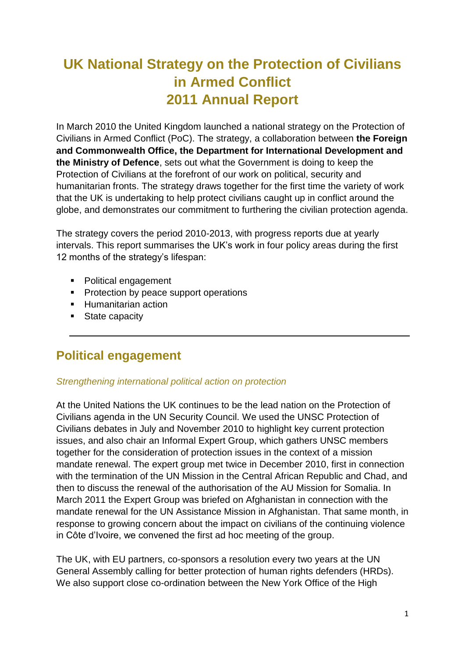# **UK National Strategy on the Protection of Civilians in Armed Conflict 2011 Annual Report**

In March 2010 the United Kingdom launched a national strategy on the Protection of Civilians in Armed Conflict (PoC). The strategy, a collaboration between **the Foreign and Commonwealth Office, the Department for International Development and the Ministry of Defence**, sets out what the Government is doing to keep the Protection of Civilians at the forefront of our work on political, security and humanitarian fronts. The strategy draws together for the first time the variety of work that the UK is undertaking to help protect civilians caught up in conflict around the globe, and demonstrates our commitment to furthering the civilian protection agenda.

The strategy covers the period 2010-2013, with progress reports due at yearly intervals. This report summarises the UK"s work in four policy areas during the first 12 months of the strategy's lifespan:

- Political engagement
- **Protection by peace support operations**
- **Humanitarian action**
- **State capacity**

### **Political engagement**

#### *Strengthening international political action on protection*

At the United Nations the UK continues to be the lead nation on the Protection of Civilians agenda in the UN Security Council. We used the UNSC Protection of Civilians debates in July and November 2010 to highlight key current protection issues, and also chair an Informal Expert Group, which gathers UNSC members together for the consideration of protection issues in the context of a mission mandate renewal. The expert group met twice in December 2010, first in connection with the termination of the UN Mission in the Central African Republic and Chad, and then to discuss the renewal of the authorisation of the AU Mission for Somalia. In March 2011 the Expert Group was briefed on Afghanistan in connection with the mandate renewal for the UN Assistance Mission in Afghanistan. That same month, in response to growing concern about the impact on civilians of the continuing violence in Côte d"Ivoire, we convened the first ad hoc meeting of the group.

The UK, with EU partners, co-sponsors a resolution every two years at the UN General Assembly calling for better protection of human rights defenders (HRDs). We also support close co-ordination between the New York Office of the High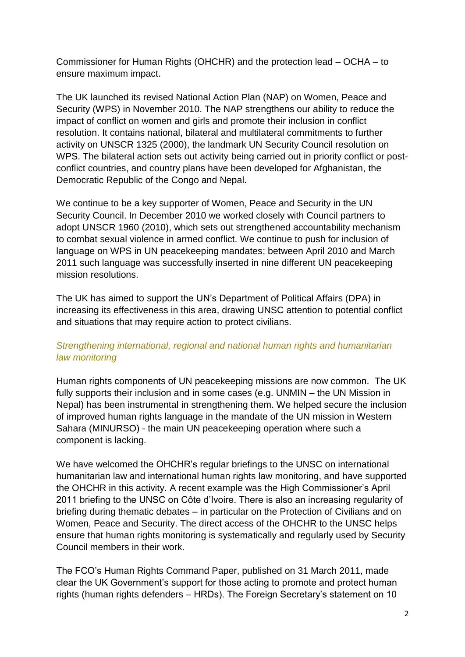Commissioner for Human Rights (OHCHR) and the protection lead – OCHA – to ensure maximum impact.

The UK launched its revised National Action Plan (NAP) on Women, Peace and Security (WPS) in November 2010. The NAP strengthens our ability to reduce the impact of conflict on women and girls and promote their inclusion in conflict resolution. It contains national, bilateral and multilateral commitments to further activity on UNSCR 1325 (2000), the landmark UN Security Council resolution on WPS. The bilateral action sets out activity being carried out in priority conflict or postconflict countries, and country plans have been developed for Afghanistan, the Democratic Republic of the Congo and Nepal.

We continue to be a key supporter of Women, Peace and Security in the UN Security Council. In December 2010 we worked closely with Council partners to adopt UNSCR 1960 (2010), which sets out strengthened accountability mechanism to combat sexual violence in armed conflict. We continue to push for inclusion of language on WPS in UN peacekeeping mandates; between April 2010 and March 2011 such language was successfully inserted in nine different UN peacekeeping mission resolutions.

The UK has aimed to support the UN"s Department of Political Affairs (DPA) in increasing its effectiveness in this area, drawing UNSC attention to potential conflict and situations that may require action to protect civilians.

### *Strengthening international, regional and national human rights and humanitarian law monitoring*

Human rights components of UN peacekeeping missions are now common. The UK fully supports their inclusion and in some cases (e.g. UNMIN – the UN Mission in Nepal) has been instrumental in strengthening them. We helped secure the inclusion of improved human rights language in the mandate of the UN mission in Western Sahara (MINURSO) - the main UN peacekeeping operation where such a component is lacking.

We have welcomed the OHCHR"s regular briefings to the UNSC on international humanitarian law and international human rights law monitoring, and have supported the OHCHR in this activity. A recent example was the High Commissioner"s April 2011 briefing to the UNSC on Côte d"Ivoire. There is also an increasing regularity of briefing during thematic debates – in particular on the Protection of Civilians and on Women, Peace and Security. The direct access of the OHCHR to the UNSC helps ensure that human rights monitoring is systematically and regularly used by Security Council members in their work.

The FCO"s Human Rights Command Paper, published on 31 March 2011, made clear the UK Government"s support for those acting to promote and protect human rights (human rights defenders – HRDs). The Foreign Secretary"s statement on 10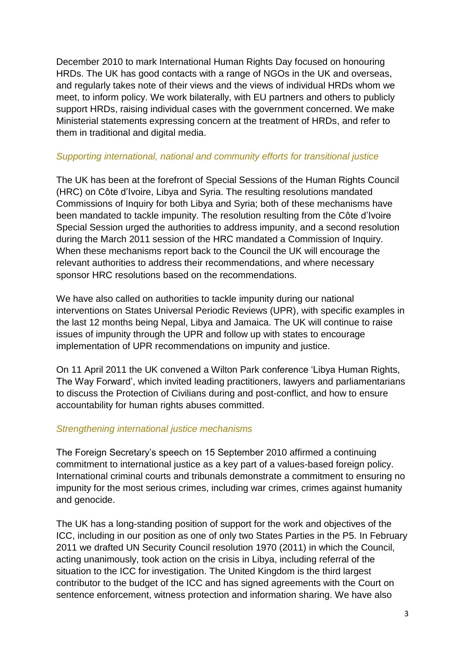December 2010 to mark International Human Rights Day focused on honouring HRDs. The UK has good contacts with a range of NGOs in the UK and overseas, and regularly takes note of their views and the views of individual HRDs whom we meet, to inform policy. We work bilaterally, with EU partners and others to publicly support HRDs, raising individual cases with the government concerned. We make Ministerial statements expressing concern at the treatment of HRDs, and refer to them in traditional and digital media.

### *Supporting international, national and community efforts for transitional justice*

The UK has been at the forefront of Special Sessions of the Human Rights Council (HRC) on Côte d"Ivoire, Libya and Syria. The resulting resolutions mandated Commissions of Inquiry for both Libya and Syria; both of these mechanisms have been mandated to tackle impunity. The resolution resulting from the Côte d"Ivoire Special Session urged the authorities to address impunity, and a second resolution during the March 2011 session of the HRC mandated a Commission of Inquiry. When these mechanisms report back to the Council the UK will encourage the relevant authorities to address their recommendations, and where necessary sponsor HRC resolutions based on the recommendations.

We have also called on authorities to tackle impunity during our national interventions on States Universal Periodic Reviews (UPR), with specific examples in the last 12 months being Nepal, Libya and Jamaica. The UK will continue to raise issues of impunity through the UPR and follow up with states to encourage implementation of UPR recommendations on impunity and justice.

On 11 April 2011 the UK convened a Wilton Park conference "Libya Human Rights, The Way Forward", which invited leading practitioners, lawyers and parliamentarians to discuss the Protection of Civilians during and post-conflict, and how to ensure accountability for human rights abuses committed.

### *Strengthening international justice mechanisms*

The Foreign Secretary"s speech on 15 September 2010 affirmed a continuing commitment to international justice as a key part of a values-based foreign policy. International criminal courts and tribunals demonstrate a commitment to ensuring no impunity for the most serious crimes, including war crimes, crimes against humanity and genocide.

The UK has a long-standing position of support for the work and objectives of the ICC, including in our position as one of only two States Parties in the P5. In February 2011 we drafted UN Security Council resolution 1970 (2011) in which the Council, acting unanimously, took action on the crisis in Libya, including referral of the situation to the ICC for investigation. The United Kingdom is the third largest contributor to the budget of the ICC and has signed agreements with the Court on sentence enforcement, witness protection and information sharing. We have also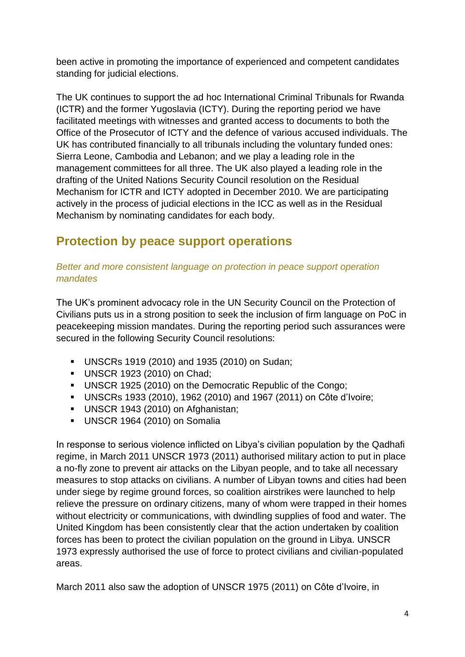been active in promoting the importance of experienced and competent candidates standing for judicial elections.

The UK continues to support the ad hoc International Criminal Tribunals for Rwanda (ICTR) and the former Yugoslavia (ICTY). During the reporting period we have facilitated meetings with witnesses and granted access to documents to both the Office of the Prosecutor of ICTY and the defence of various accused individuals. The UK has contributed financially to all tribunals including the voluntary funded ones: Sierra Leone, Cambodia and Lebanon; and we play a leading role in the management committees for all three. The UK also played a leading role in the drafting of the United Nations Security Council resolution on the Residual Mechanism for ICTR and ICTY adopted in December 2010. We are participating actively in the process of judicial elections in the ICC as well as in the Residual Mechanism by nominating candidates for each body.

# **Protection by peace support operations**

### *Better and more consistent language on protection in peace support operation mandates*

The UK"s prominent advocacy role in the UN Security Council on the Protection of Civilians puts us in a strong position to seek the inclusion of firm language on PoC in peacekeeping mission mandates. During the reporting period such assurances were secured in the following Security Council resolutions:

- UNSCRs 1919 (2010) and 1935 (2010) on Sudan;
- **UNSCR 1923 (2010) on Chad;**
- UNSCR 1925 (2010) on the Democratic Republic of the Congo;
- UNSCRs 1933 (2010), 1962 (2010) and 1967 (2011) on Côte d"Ivoire;
- UNSCR 1943 (2010) on Afghanistan;
- UNSCR 1964 (2010) on Somalia

In response to serious violence inflicted on Libya's civilian population by the Qadhafi regime, in March 2011 UNSCR 1973 (2011) authorised military action to put in place a no-fly zone to prevent air attacks on the Libyan people, and to take all necessary measures to stop attacks on civilians. A number of Libyan towns and cities had been under siege by regime ground forces, so coalition airstrikes were launched to help relieve the pressure on ordinary citizens, many of whom were trapped in their homes without electricity or communications, with dwindling supplies of food and water. The United Kingdom has been consistently clear that the action undertaken by coalition forces has been to protect the civilian population on the ground in Libya. UNSCR 1973 expressly authorised the use of force to protect civilians and civilian-populated areas.

March 2011 also saw the adoption of UNSCR 1975 (2011) on Côte d"Ivoire, in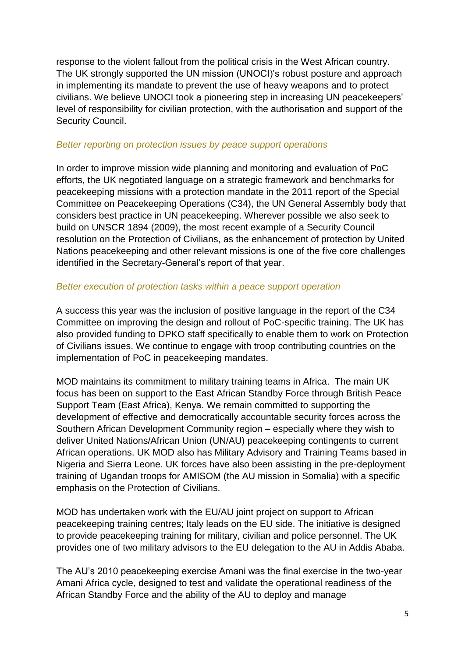response to the violent fallout from the political crisis in the West African country. The UK strongly supported the UN mission (UNOCI)"s robust posture and approach in implementing its mandate to prevent the use of heavy weapons and to protect civilians. We believe UNOCI took a pioneering step in increasing UN peacekeepers" level of responsibility for civilian protection, with the authorisation and support of the Security Council.

#### *Better reporting on protection issues by peace support operations*

In order to improve mission wide planning and monitoring and evaluation of PoC efforts, the UK negotiated language on a strategic framework and benchmarks for peacekeeping missions with a protection mandate in the 2011 report of the Special Committee on Peacekeeping Operations (C34), the UN General Assembly body that considers best practice in UN peacekeeping. Wherever possible we also seek to build on UNSCR 1894 (2009), the most recent example of a Security Council resolution on the Protection of Civilians, as the enhancement of protection by United Nations peacekeeping and other relevant missions is one of the five core challenges identified in the Secretary-General's report of that year.

#### *Better execution of protection tasks within a peace support operation*

A success this year was the inclusion of positive language in the report of the C34 Committee on improving the design and rollout of PoC-specific training. The UK has also provided funding to DPKO staff specifically to enable them to work on Protection of Civilians issues. We continue to engage with troop contributing countries on the implementation of PoC in peacekeeping mandates.

MOD maintains its commitment to military training teams in Africa. The main UK focus has been on support to the East African Standby Force through British Peace Support Team (East Africa), Kenya. We remain committed to supporting the development of effective and democratically accountable security forces across the Southern African Development Community region – especially where they wish to deliver United Nations/African Union (UN/AU) peacekeeping contingents to current African operations. UK MOD also has Military Advisory and Training Teams based in Nigeria and Sierra Leone. UK forces have also been assisting in the pre-deployment training of Ugandan troops for AMISOM (the AU mission in Somalia) with a specific emphasis on the Protection of Civilians.

MOD has undertaken work with the EU/AU joint project on support to African peacekeeping training centres; Italy leads on the EU side. The initiative is designed to provide peacekeeping training for military, civilian and police personnel. The UK provides one of two military advisors to the EU delegation to the AU in Addis Ababa.

The AU"s 2010 peacekeeping exercise Amani was the final exercise in the two-year Amani Africa cycle, designed to test and validate the operational readiness of the African Standby Force and the ability of the AU to deploy and manage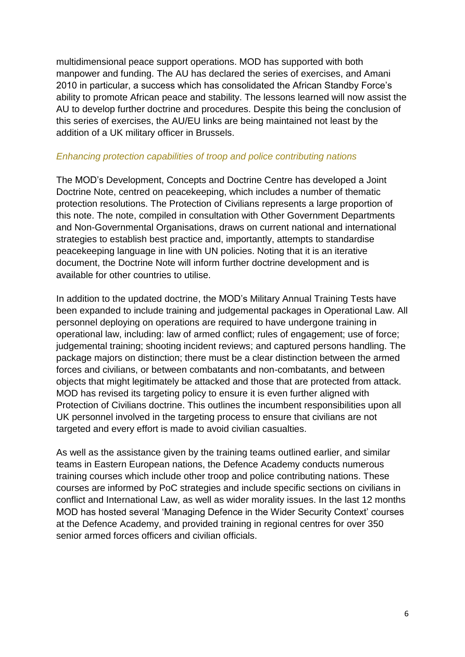multidimensional peace support operations. MOD has supported with both manpower and funding. The AU has declared the series of exercises, and Amani 2010 in particular, a success which has consolidated the African Standby Force"s ability to promote African peace and stability. The lessons learned will now assist the AU to develop further doctrine and procedures. Despite this being the conclusion of this series of exercises, the AU/EU links are being maintained not least by the addition of a UK military officer in Brussels.

#### *Enhancing protection capabilities of troop and police contributing nations*

The MOD"s Development, Concepts and Doctrine Centre has developed a Joint Doctrine Note, centred on peacekeeping, which includes a number of thematic protection resolutions. The Protection of Civilians represents a large proportion of this note. The note, compiled in consultation with Other Government Departments and Non-Governmental Organisations, draws on current national and international strategies to establish best practice and, importantly, attempts to standardise peacekeeping language in line with UN policies. Noting that it is an iterative document, the Doctrine Note will inform further doctrine development and is available for other countries to utilise.

In addition to the updated doctrine, the MOD"s Military Annual Training Tests have been expanded to include training and judgemental packages in Operational Law. All personnel deploying on operations are required to have undergone training in operational law, including: law of armed conflict; rules of engagement; use of force; judgemental training; shooting incident reviews; and captured persons handling. The package majors on distinction; there must be a clear distinction between the armed forces and civilians, or between combatants and non-combatants, and between objects that might legitimately be attacked and those that are protected from attack. MOD has revised its targeting policy to ensure it is even further aligned with Protection of Civilians doctrine. This outlines the incumbent responsibilities upon all UK personnel involved in the targeting process to ensure that civilians are not targeted and every effort is made to avoid civilian casualties.

As well as the assistance given by the training teams outlined earlier, and similar teams in Eastern European nations, the Defence Academy conducts numerous training courses which include other troop and police contributing nations. These courses are informed by PoC strategies and include specific sections on civilians in conflict and International Law, as well as wider morality issues. In the last 12 months MOD has hosted several "Managing Defence in the Wider Security Context" courses at the Defence Academy, and provided training in regional centres for over 350 senior armed forces officers and civilian officials.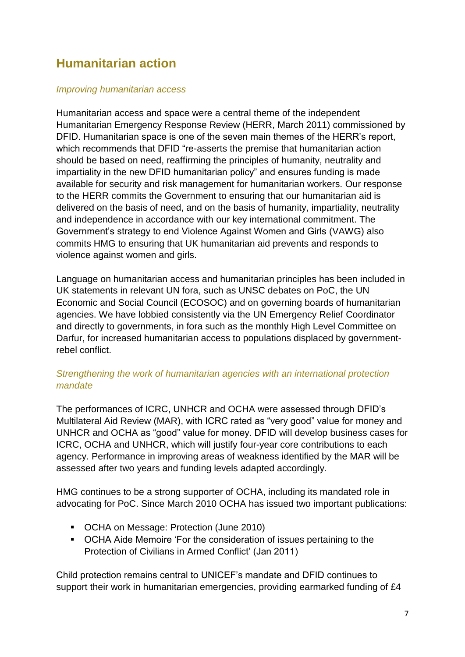# **Humanitarian action**

#### *Improving humanitarian access*

Humanitarian access and space were a central theme of the independent Humanitarian Emergency Response Review (HERR, March 2011) commissioned by DFID. Humanitarian space is one of the seven main themes of the HERR"s report, which recommends that DFID "re-asserts the premise that humanitarian action should be based on need, reaffirming the principles of humanity, neutrality and impartiality in the new DFID humanitarian policy" and ensures funding is made available for security and risk management for humanitarian workers. Our response to the HERR commits the Government to ensuring that our humanitarian aid is delivered on the basis of need, and on the basis of humanity, impartiality, neutrality and independence in accordance with our key international commitment. The Government"s strategy to end Violence Against Women and Girls (VAWG) also commits HMG to ensuring that UK humanitarian aid prevents and responds to violence against women and girls.

Language on humanitarian access and humanitarian principles has been included in UK statements in relevant UN fora, such as UNSC debates on PoC, the UN Economic and Social Council (ECOSOC) and on governing boards of humanitarian agencies. We have lobbied consistently via the UN Emergency Relief Coordinator and directly to governments, in fora such as the monthly High Level Committee on Darfur, for increased humanitarian access to populations displaced by governmentrebel conflict.

### *Strengthening the work of humanitarian agencies with an international protection mandate*

The performances of ICRC, UNHCR and OCHA were assessed through DFID"s Multilateral Aid Review (MAR), with ICRC rated as "very good" value for money and UNHCR and OCHA as "good" value for money. DFID will develop business cases for ICRC, OCHA and UNHCR, which will justify four-year core contributions to each agency. Performance in improving areas of weakness identified by the MAR will be assessed after two years and funding levels adapted accordingly.

HMG continues to be a strong supporter of OCHA, including its mandated role in advocating for PoC. Since March 2010 OCHA has issued two important publications:

- OCHA on Message: Protection (June 2010)
- OCHA Aide Memoire "For the consideration of issues pertaining to the Protection of Civilians in Armed Conflict" (Jan 2011)

Child protection remains central to UNICEF"s mandate and DFID continues to support their work in humanitarian emergencies, providing earmarked funding of £4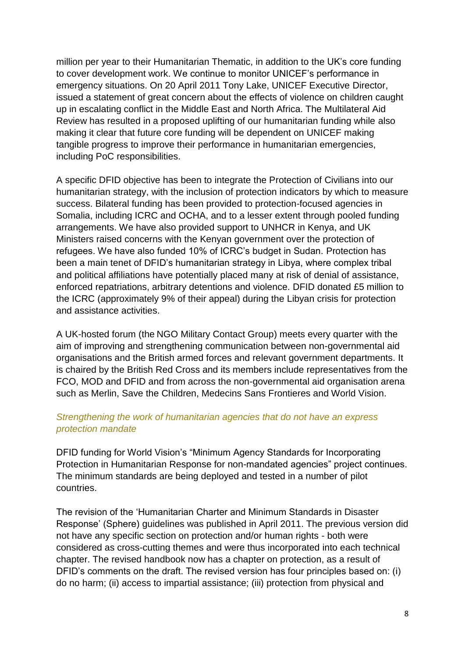million per year to their Humanitarian Thematic, in addition to the UK"s core funding to cover development work. We continue to monitor UNICEF"s performance in emergency situations. On 20 April 2011 Tony Lake, UNICEF Executive Director, issued a statement of great concern about the effects of violence on children caught up in escalating conflict in the Middle East and North Africa. The Multilateral Aid Review has resulted in a proposed uplifting of our humanitarian funding while also making it clear that future core funding will be dependent on UNICEF making tangible progress to improve their performance in humanitarian emergencies, including PoC responsibilities.

A specific DFID objective has been to integrate the Protection of Civilians into our humanitarian strategy, with the inclusion of protection indicators by which to measure success. Bilateral funding has been provided to protection-focused agencies in Somalia, including ICRC and OCHA, and to a lesser extent through pooled funding arrangements. We have also provided support to UNHCR in Kenya, and UK Ministers raised concerns with the Kenyan government over the protection of refugees. We have also funded 10% of ICRC"s budget in Sudan. Protection has been a main tenet of DFID's humanitarian strategy in Libya, where complex tribal and political affiliations have potentially placed many at risk of denial of assistance, enforced repatriations, arbitrary detentions and violence. DFID donated £5 million to the ICRC (approximately 9% of their appeal) during the Libyan crisis for protection and assistance activities.

A UK-hosted forum (the NGO Military Contact Group) meets every quarter with the aim of improving and strengthening communication between non-governmental aid organisations and the British armed forces and relevant government departments. It is chaired by the British Red Cross and its members include representatives from the FCO, MOD and DFID and from across the non-governmental aid organisation arena such as Merlin, Save the Children, Medecins Sans Frontieres and World Vision.

### *Strengthening the work of humanitarian agencies that do not have an express protection mandate*

DFID funding for World Vision"s "Minimum Agency Standards for Incorporating Protection in Humanitarian Response for non-mandated agencies" project continues. The minimum standards are being deployed and tested in a number of pilot countries.

The revision of the "Humanitarian Charter and Minimum Standards in Disaster Response" (Sphere) guidelines was published in April 2011. The previous version did not have any specific section on protection and/or human rights - both were considered as cross-cutting themes and were thus incorporated into each technical chapter. The revised handbook now has a chapter on protection, as a result of DFID"s comments on the draft. The revised version has four principles based on: (i) do no harm; (ii) access to impartial assistance; (iii) protection from physical and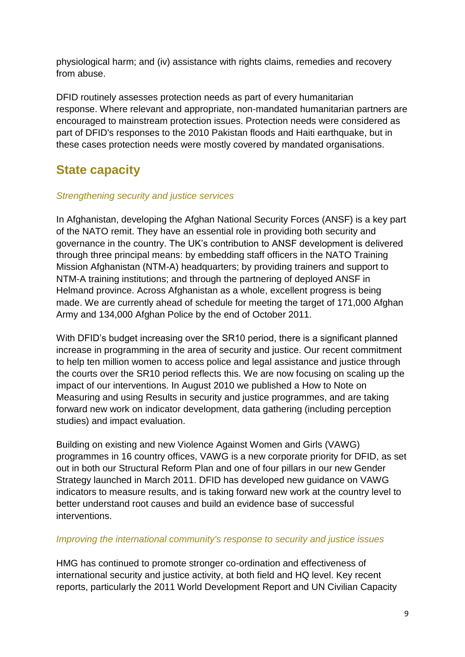physiological harm; and (iv) assistance with rights claims, remedies and recovery from abuse.

DFID routinely assesses protection needs as part of every humanitarian response. Where relevant and appropriate, non-mandated humanitarian partners are encouraged to mainstream protection issues. Protection needs were considered as part of DFID's responses to the 2010 Pakistan floods and Haiti earthquake, but in these cases protection needs were mostly covered by mandated organisations.

# **State capacity**

### *Strengthening security and justice services*

In Afghanistan, developing the Afghan National Security Forces (ANSF) is a key part of the NATO remit. They have an essential role in providing both security and governance in the country. The UK"s contribution to ANSF development is delivered through three principal means: by embedding staff officers in the NATO Training Mission Afghanistan (NTM-A) headquarters; by providing trainers and support to NTM-A training institutions; and through the partnering of deployed ANSF in Helmand province. Across Afghanistan as a whole, excellent progress is being made. We are currently ahead of schedule for meeting the target of 171,000 Afghan Army and 134,000 Afghan Police by the end of October 2011.

With DFID's budget increasing over the SR10 period, there is a significant planned increase in programming in the area of security and justice. Our recent commitment to help ten million women to access police and legal assistance and justice through the courts over the SR10 period reflects this. We are now focusing on scaling up the impact of our interventions. In August 2010 we published a How to Note on Measuring and using Results in security and justice programmes, and are taking forward new work on indicator development, data gathering (including perception studies) and impact evaluation.

Building on existing and new Violence Against Women and Girls (VAWG) programmes in 16 country offices, VAWG is a new corporate priority for DFID, as set out in both our Structural Reform Plan and one of four pillars in our new Gender Strategy launched in March 2011. DFID has developed new guidance on VAWG indicators to measure results, and is taking forward new work at the country level to better understand root causes and build an evidence base of successful interventions.

### *Improving the international community's response to security and justice issues*

HMG has continued to promote stronger co-ordination and effectiveness of international security and justice activity, at both field and HQ level. Key recent reports, particularly the 2011 World Development Report and UN Civilian Capacity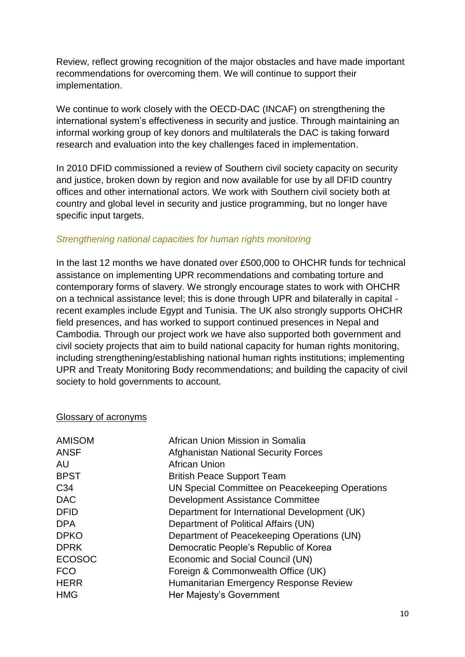Review, reflect growing recognition of the major obstacles and have made important recommendations for overcoming them. We will continue to support their implementation.

We continue to work closely with the OECD-DAC (INCAF) on strengthening the international system's effectiveness in security and justice. Through maintaining an informal working group of key donors and multilaterals the DAC is taking forward research and evaluation into the key challenges faced in implementation.

In 2010 DFID commissioned a review of Southern civil society capacity on security and justice, broken down by region and now available for use by all DFID country offices and other international actors. We work with Southern civil society both at country and global level in security and justice programming, but no longer have specific input targets.

#### *Strengthening national capacities for human rights monitoring*

In the last 12 months we have donated over £500,000 to OHCHR funds for technical assistance on implementing UPR recommendations and combating torture and contemporary forms of slavery. We strongly encourage states to work with OHCHR on a technical assistance level; this is done through UPR and bilaterally in capital recent examples include Egypt and Tunisia. The UK also strongly supports OHCHR field presences, and has worked to support continued presences in Nepal and Cambodia. Through our project work we have also supported both government and civil society projects that aim to build national capacity for human rights monitoring, including strengthening/establishing national human rights institutions; implementing UPR and Treaty Monitoring Body recommendations; and building the capacity of civil society to hold governments to account.

#### Glossary of acronyms

| <b>AMISOM</b>   | African Union Mission in Somalia                |
|-----------------|-------------------------------------------------|
| <b>ANSF</b>     | <b>Afghanistan National Security Forces</b>     |
| AU              | <b>African Union</b>                            |
| <b>BPST</b>     | <b>British Peace Support Team</b>               |
| C <sub>34</sub> | UN Special Committee on Peacekeeping Operations |
| <b>DAC</b>      | <b>Development Assistance Committee</b>         |
| <b>DFID</b>     | Department for International Development (UK)   |
| <b>DPA</b>      | Department of Political Affairs (UN)            |
| <b>DPKO</b>     | Department of Peacekeeping Operations (UN)      |
| <b>DPRK</b>     | Democratic People's Republic of Korea           |
| <b>ECOSOC</b>   | Economic and Social Council (UN)                |
| <b>FCO</b>      | Foreign & Commonwealth Office (UK)              |
| <b>HERR</b>     | Humanitarian Emergency Response Review          |
| <b>HMG</b>      | Her Majesty's Government                        |